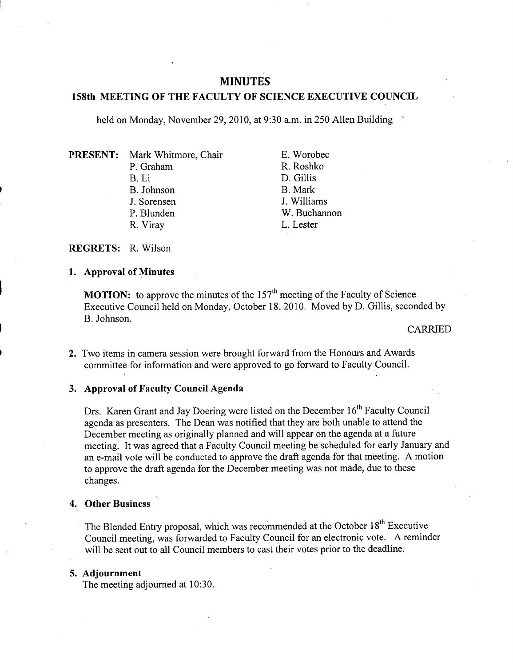# **MINUTES**

## **158th MEETING OF THE FACULTY OF SCIENCE EXECUTIVE COUNCIL**

held on Monday, November 29, 2010, at 9:30 a.m. in *250* Allen Building

**PRESENT:** Mark Whitmore, Chair P. Graham B.Li B. Johnson J. Sorensen P. Blunden R. Viray

E. Worobec R. Roshko D. Gillis B. Mark J. Williams W. Buchannon L. Lester

**REGRETS: R.** Wilson

### **1. Approval of Minutes**

**MOTION:** to approve the minutes of the  $157<sup>th</sup>$  meeting of the Faculty of Science Executive Council held on Monday, October 18, 2010. Moved by D. Gillis, seconded by B. Johnson.

#### CARRIED

Two items in camera session were brought forward from the Honours and Awards committee for information and were approved to go forward to Faculty Council.

# **Approval of Faculty Council Agenda**

Drs. Karen Grant and Jay Doering were listed on the December 16<sup>th</sup> Faculty Council agenda as presenters. The Dean was notified that they are both unable to attend the December meeting as originally planned and will appear on the agenda at a future meeting. It was agreed that a Faculty Council meeting be scheduled for early January and an e-mail vote will be conducted to approve the draft agenda for that meeting. A motion to approve the draft agenda for the December meeting was not made, due to these changes.

# **Other Business**

The Blended Entry proposal, which was recommended at the October 18<sup>th</sup> Executive Council meeting, was forwarded to Faculty Council for an electronic vote. A reminder will be sent out to all Council members to cast their votes prior to the deadline.

## **Adjournment**

The meeting adjourned at 10:30.